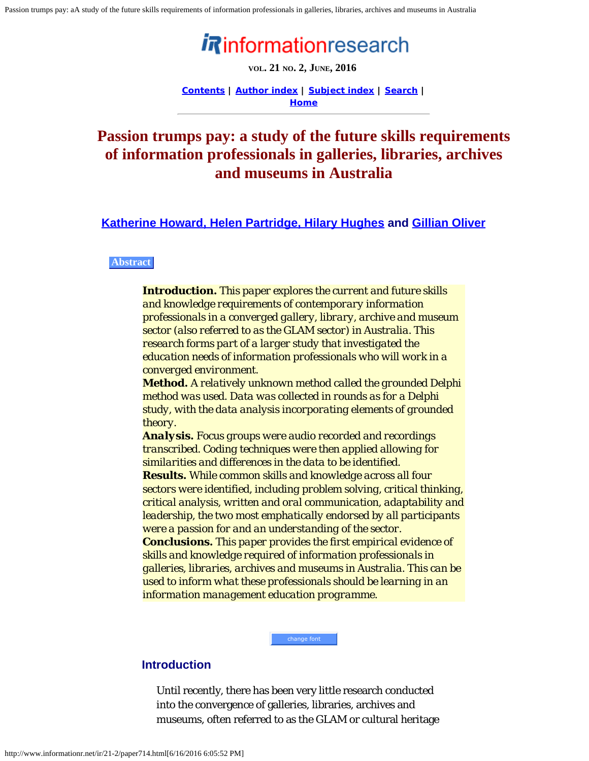# informationresearch

**VOL. 21 NO. 2, JUNE, 2016**

**[Contents](http://www.informationr.net/ir/21-2/infres212.html) | [Author index](http://www.informationr.net/ir/iraindex.html) | [Subject index](http://www.informationr.net/ir/irsindex.html) | [Search](http://www.informationr.net/ir/search.html) | [Home](http://www.informationr.net/ir/index.html)**

## <span id="page-0-0"></span>**Passion trumps pay: a study of the future skills requirements of information professionals in galleries, libraries, archives and museums in Australia**

**[Katherine Howard, Helen Partridge, Hilary Hughes](#page-17-0) and [Gillian Oliver](#page-17-0)**

#### **Abstract**

*Introduction. This paper explores the current and future skills and knowledge requirements of contemporary information professionals in a converged gallery, library, archive and museum sector (also referred to as the GLAM sector) in Australia. This research forms part of a larger study that investigated the education needs of information professionals who will work in a converged environment.* 

*Method. A relatively unknown method called the grounded Delphi method was used. Data was collected in rounds as for a Delphi study, with the data analysis incorporating elements of grounded theory.* 

*Analysis. Focus groups were audio recorded and recordings transcribed. Coding techniques were then applied allowing for similarities and differences in the data to be identified. Results. While common skills and knowledge across all four sectors were identified, including problem solving, critical thinking, critical analysis, written and oral communication, adaptability and leadership, the two most emphatically endorsed by all participants were a passion for and an understanding of the sector. Conclusions. This paper provides the first empirical evidence of skills and knowledge required of information professionals in galleries, libraries, archives and museums in Australia. This can be used to inform what these professionals should be learning in an information management education programme.*

#### **Introduction**

Until recently, there has been very little research conducted into the convergence of galleries, libraries, archives and museums, often referred to as the GLAM or cultural heritage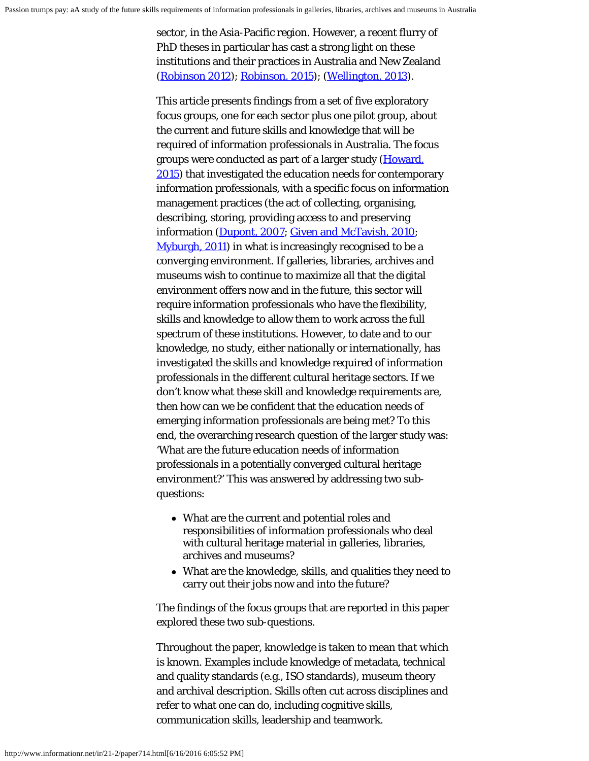sector, in the Asia-Pacific region. However, a recent flurry of PhD theses in particular has cast a strong light on these institutions and their practices in Australia and New Zealand ([Robinson 2012\)](#page-21-0); [Robinson, 2015\)](#page-21-0); [\(Wellington, 2013](#page-21-1)).

This article presents findings from a set of five exploratory focus groups, one for each sector plus one pilot group, about the current and future skills and knowledge that will be required of information professionals in Australia. The focus groups were conducted as part of a larger study [\(Howard,](#page-21-0) [2015](#page-21-0)) that investigated the education needs for contemporary information professionals, with a specific focus on information management practices (the act of collecting, organising, describing, storing, providing access to and preserving information [\(Dupont, 2007](#page-21-0); [Given and McTavish, 2010](#page-21-0); [Myburgh, 2011](#page-21-0)) in what is increasingly recognised to be a converging environment. If galleries, libraries, archives and museums wish to continue to maximize all that the digital environment offers now and in the future, this sector will require information professionals who have the flexibility, skills and knowledge to allow them to work across the full spectrum of these institutions. However, to date and to our knowledge, no study, either nationally or internationally, has investigated the skills and knowledge required of information professionals in the different cultural heritage sectors. If we don't know what these skill and knowledge requirements are, then how can we be confident that the education needs of emerging information professionals are being met? To this end, the overarching research question of the larger study was: 'What are the future education needs of information professionals in a potentially converged cultural heritage environment?' This was answered by addressing two subquestions:

- What are the current and potential roles and responsibilities of information professionals who deal with cultural heritage material in galleries, libraries, archives and museums?
- What are the knowledge, skills, and qualities they need to carry out their jobs now and into the future?

The findings of the focus groups that are reported in this paper explored these two sub-questions.

Throughout the paper, *knowledge* is taken to mean *that which is known*. Examples include knowledge of metadata, technical and quality standards (e.g., ISO standards), museum theory and archival description. *Skills* often cut across disciplines and refer to what one can *do*, including cognitive skills, communication skills, leadership and teamwork.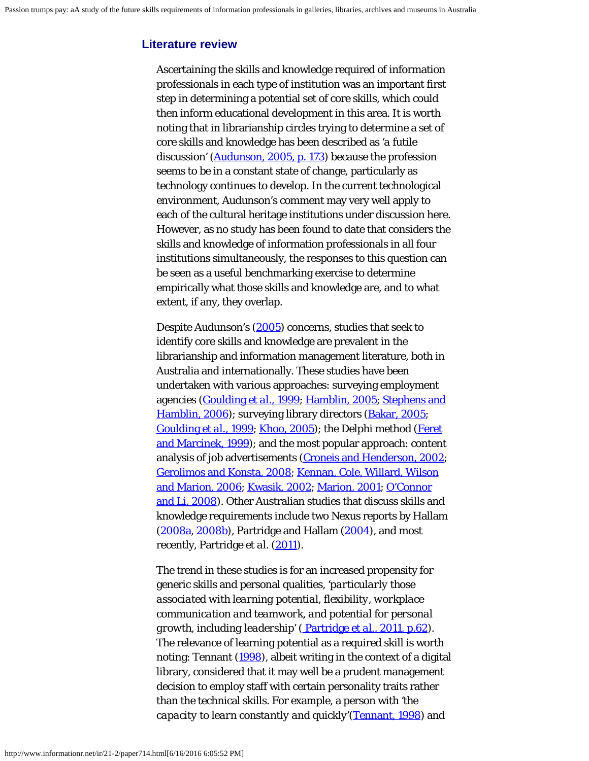## **Literature review**

Ascertaining the skills and knowledge required of information professionals in each type of institution was an important first step in determining a potential set of core skills, which could then inform educational development in this area. It is worth noting that in librarianship circles trying to determine a set of core skills and knowledge has been described as *'a futile discussion'* [\(Audunson, 2005, p. 173](#page-21-0)) because the profession seems to be in a constant state of change, particularly as technology continues to develop. In the current technological environment, Audunson's comment may very well apply to each of the cultural heritage institutions under discussion here. However, as no study has been found to date that considers the skills and knowledge of information professionals in all four institutions simultaneously, the responses to this question can be seen as a useful benchmarking exercise to determine empirically what those skills and knowledge are, and to what extent, if any, they overlap.

Despite Audunson's [\(2005](#page-21-0)) concerns, studies that seek to identify core skills and knowledge are prevalent in the librarianship and information management literature, both in Australia and internationally. These studies have been undertaken with various approaches: surveying employment agencies [\(Goulding](#page-21-0) *[et al.](#page-21-0)*[, 1999](#page-21-0); [Hamblin, 2005](#page-21-0); [Stephens and](#page-21-0) [Hamblin, 2006](#page-21-0)); surveying library directors [\(Bakar, 2005](#page-21-0); [Goulding](#page-21-0) *[et al.](#page-21-0)*[, 1999](#page-21-0); [Khoo, 2005](#page-21-0)); the Delphi method [\(Feret](#page-21-0) [and Marcinek, 1999\)](#page-21-0); and the most popular approach: content analysis of job advertisements [\(Croneis and Henderson, 2002](#page-21-0); [Gerolimos and Konsta, 2008; Kennan, Cole, Willard, Wilson](#page-21-0) [and Marion, 2006; Kwasik, 2002](#page-21-0); [Marion, 2001](#page-21-0); [O'Connor](#page-21-0) [and Li, 2008\)](#page-21-0). Other Australian studies that discuss skills and knowledge requirements include two Nexus reports by Hallam  $(2008a, 2008b)$  $(2008a, 2008b)$  $(2008a, 2008b)$ , Partridge and Hallam  $(2004)$  $(2004)$ , and most recently, Partridge *et al.* [\(2011](#page-21-0)).

The trend in these studies is for an increased propensity for generic skills and personal qualities, *'particularly those associated with learning potential, flexibility, workplace communication and teamwork, and potential for personal growth, including leadership'* [\( Partridge](#page-21-0) *[et al.](#page-21-0)*[, 2011, p.62](#page-21-0)). The relevance of learning potential as a required skill is worth noting: Tennant ([1998](#page-21-0)), albeit writing in the context of a digital library, considered that it may well be a prudent management decision to employ staff with certain personality traits rather than the technical skills. For example, a person with *'the capacity to learn constantly and quickly'*([Tennant, 1998](#page-21-0)) and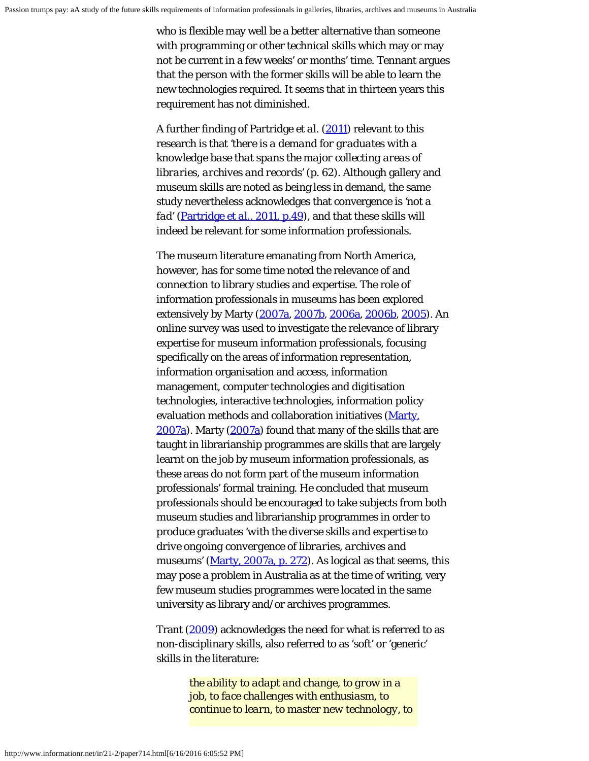who is flexible may well be a better alternative than someone with programming or other technical skills which may or may not be current in a few weeks' or months' time. Tennant argues that the person with the former skills will be able to learn the new technologies required. It seems that in thirteen years this requirement has not diminished.

A further finding of Partridge *et al.* [\(2011](#page-21-0)) relevant to this research is that *'there is a demand for graduates with a knowledge base that spans the major collecting areas of libraries, archives and records'* (p. 62). Although gallery and museum skills are noted as being less in demand, the same study nevertheless acknowledges that convergence is *'not a fad'* [\(Partridge](#page-21-0) *[et al.](#page-21-0)*[, 2011, p.49](#page-21-0)), and that these skills will indeed be relevant for some information professionals.

The museum literature emanating from North America, however, has for some time noted the relevance of and connection to library studies and expertise. The role of information professionals in museums has been explored extensively by Marty [\(2007a](#page-21-0), [2007b](#page-21-0), [2006a](#page-21-0), [2006b](#page-21-0), [2005](#page-21-0)). An online survey was used to investigate the relevance of library expertise for museum information professionals, focusing specifically on the areas of information representation, information organisation and access, information management, computer technologies and digitisation technologies, interactive technologies, information policy evaluation methods and collaboration initiatives [\(Marty,](#page-21-0) [2007a](#page-21-0)). Marty [\(2007a](#page-21-0)) found that many of the skills that are taught in librarianship programmes are skills that are largely learnt on the job by museum information professionals, as these areas do not form part of the museum information professionals' formal training. He concluded that museum professionals should be encouraged to take subjects from both museum studies and librarianship programmes in order to produce graduates *'with the diverse skills and expertise to drive ongoing convergence of libraries, archives and museums'* [\(Marty, 2007a, p. 272](#page-21-0)). As logical as that seems, this may pose a problem in Australia as at the time of writing, very few museum studies programmes were located in the same university as library and/or archives programmes.

Trant [\(2009](#page-21-0)) acknowledges the need for what is referred to as non-disciplinary skills, also referred to as 'soft' or 'generic' skills in the literature:

> *the ability to adapt and change, to grow in a job, to face challenges with enthusiasm, to continue to learn, to master new technology, to*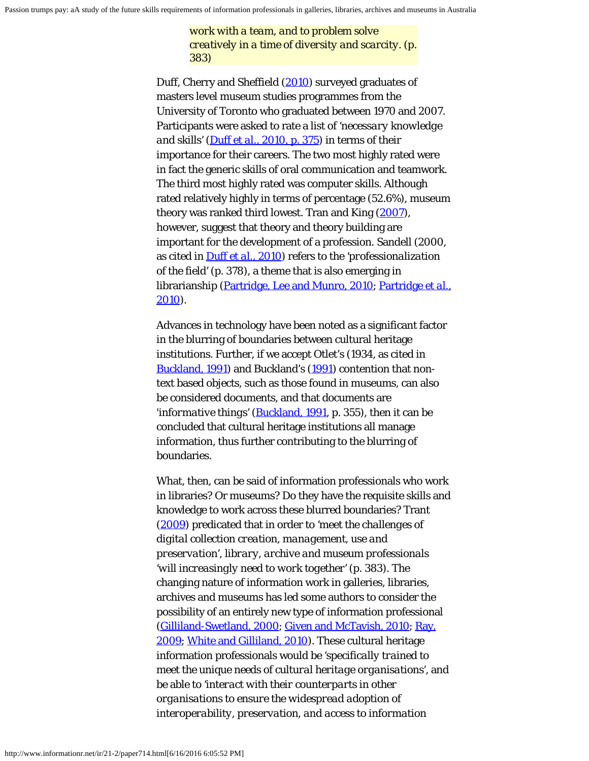*work with a team, and to problem solve creatively in a time of diversity and scarcity. (p. 383)*

Duff, Cherry and Sheffield [\(2010](#page-21-0)) surveyed graduates of masters level museum studies programmes from the University of Toronto who graduated between 1970 and 2007. Participants were asked to rate a list of *'necessary knowledge and skills'* [\(Duff](#page-21-0) *[et al.](#page-21-0)*[, 2010, p. 375](#page-21-0)) in terms of their importance for their careers. The two most highly rated were in fact the generic skills of oral communication and teamwork. The third most highly rated was computer skills. Although rated relatively highly in terms of percentage (52.6%), museum theory was ranked third lowest. Tran and King [\(2007](#page-21-0)), however, suggest that theory and theory building are important for the development of a profession. Sandell (2000, as cited in [Duff](#page-21-0) *[et al.](#page-21-0)*[, 2010](#page-21-0)) refers to the *'professionalization of the field'* (p. 378), a theme that is also emerging in librarianship [\(Partridge, Lee and Munro, 2010](#page-21-0); [Partridge](#page-21-0) *[et al.](#page-21-0)*[,](#page-21-0) [2010\)](#page-21-0).

Advances in technology have been noted as a significant factor in the blurring of boundaries between cultural heritage institutions. Further, if we accept Otlet's (1934, as cited in [Buckland, 1991\)](#page-21-0) and Buckland's [\(1991](#page-21-0)) contention that nontext based objects, such as those found in museums, can also be considered documents, and that documents are *'informative things'* ([Buckland, 1991](#page-21-0), p. 355), then it can be concluded that cultural heritage institutions all manage information, thus further contributing to the blurring of boundaries.

What, then, can be said of information professionals who work in libraries? Or museums? Do they have the requisite skills and knowledge to work across these blurred boundaries? Trant ([2009](#page-21-0)) predicated that in order to *'meet the challenges of digital collection creation, management, use and preservation', library, archive and museum professionals 'will increasingly need to work together'* (p. 383). The changing nature of information work in galleries, libraries, archives and museums has led some authors to consider the possibility of an entirely new type of information professional ([Gilliland-Swetland, 2000; Given and McTavish, 2010](#page-21-0); [Ray,](#page-21-0) [2009](#page-21-0); [White and Gilliland, 2010](#page-21-2)). These cultural heritage information professionals would be *'specifically trained to meet the unique needs of cultural heritage organisations'*, and be able to *'interact with their counterparts in other organisations to ensure the widespread adoption of interoperability, preservation, and access to information*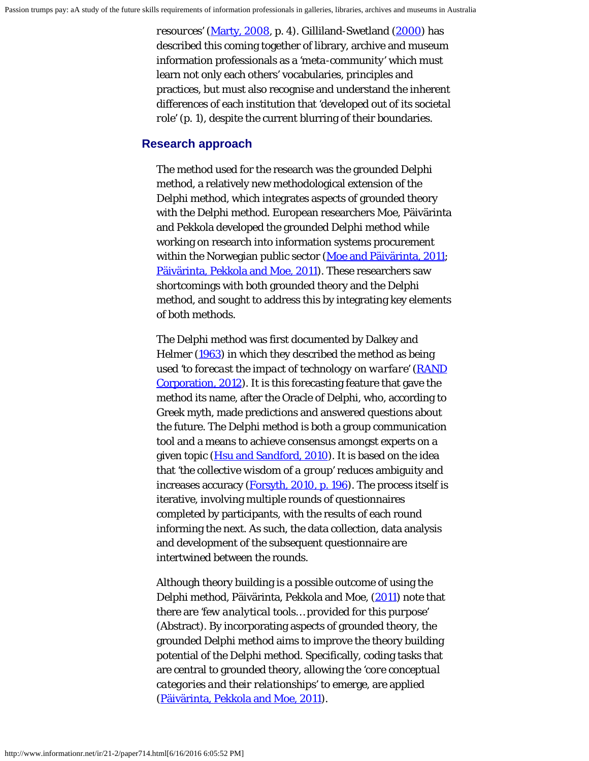*resources'* [\(Marty, 2008](#page-21-0), p. 4). Gilliland-Swetland [\(2000](#page-21-0)) has described this coming together of library, archive and museum information professionals as a *'meta-community'* which must learn not only each others' vocabularies, principles and practices, but must also recognise and understand the inherent differences of each institution that *'developed out of its societal role'* (p. 1), despite the current blurring of their boundaries.

#### **Research approach**

The method used for the research was the grounded Delphi method, a relatively new methodological extension of the Delphi method, which integrates aspects of grounded theory with the Delphi method. European researchers Moe, Päivärinta and Pekkola developed the grounded Delphi method while working on research into information systems procurement within the Norwegian public sector [\(Moe and Päivärinta, 2011](#page-21-0); [Päivärinta, Pekkola and Moe, 2011\)](#page-21-0). These researchers saw shortcomings with both grounded theory and the Delphi method, and sought to address this by integrating key elements of both methods.

The Delphi method was first documented by Dalkey and Helmer [\(1963](#page-21-0)) in which they described the method as being used *'to forecast the impact of technology on warfare'* [\(RAND](#page-21-0) [Corporation, 2012](#page-21-0)). It is this forecasting feature that gave the method its name, after the Oracle of Delphi, who, according to Greek myth, made predictions and answered questions about the future. The Delphi method is both a group communication tool and a means to achieve consensus amongst experts on a given topic [\(Hsu and Sandford, 2010](#page-21-0)). It is based on the idea that *'the collective wisdom of a group'* reduces ambiguity and increases accuracy [\(Forsyth, 2010, p. 196](#page-21-0)). The process itself is iterative, involving multiple rounds of questionnaires completed by participants, with the results of each round informing the next. As such, the data collection, data analysis and development of the subsequent questionnaire are intertwined between the rounds.

Although theory building is a possible outcome of using the Delphi method, Päivärinta, Pekkola and Moe, [\(2011](#page-21-0)) note that there are *'few analytical tools… provided for this purpose'* (Abstract). By incorporating aspects of grounded theory, the grounded Delphi method aims to improve the theory building potential of the Delphi method. Specifically, coding tasks that are central to grounded theory, allowing the *'core conceptual categories and their relationships'* to emerge, are applied ([Päivärinta, Pekkola and Moe, 2011\)](#page-21-0).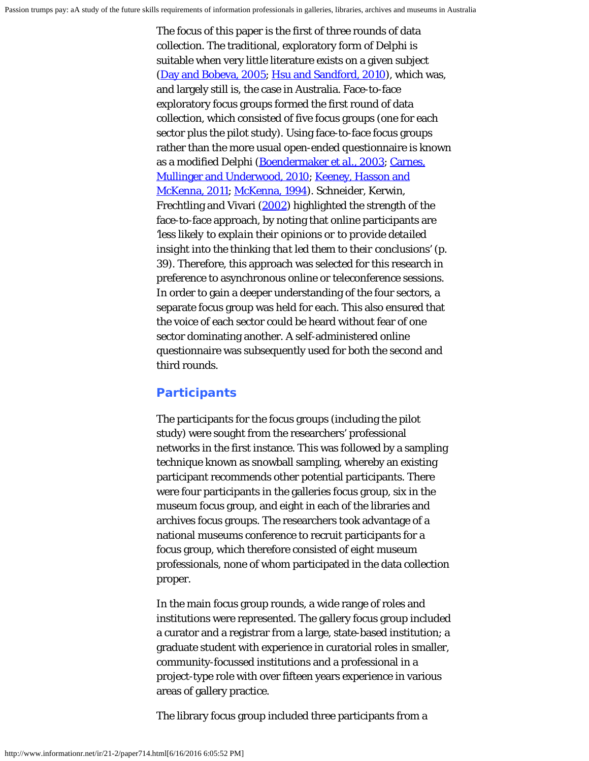The focus of this paper is the first of three rounds of data collection. The traditional, exploratory form of Delphi is suitable when very little literature exists on a given subject ([Day and Bobeva, 2005](#page-21-0); [Hsu and Sandford, 2010](#page-21-0)), which was, and largely still is, the case in Australia. Face-to-face exploratory focus groups formed the first round of data collection, which consisted of five focus groups (one for each sector plus the pilot study). Using face-to-face focus groups rather than the more usual open-ended questionnaire is known as a modified Delphi [\(Boendermaker](#page-21-0) *[et al.](#page-21-0)*[, 2003](#page-21-0); [Carnes,](#page-21-0) [Mullinger and Underwood, 2010; Keeney, Hasson and](#page-21-0) [McKenna, 2011](#page-21-0); [McKenna, 1994\)](#page-21-0). Schneider, Kerwin, Frechtling and Vivari [\(2002](#page-21-0)) highlighted the strength of the face-to-face approach, by noting that online participants are *'less likely to explain their opinions or to provide detailed insight into the thinking that led them to their conclusions'* (p. 39). Therefore, this approach was selected for this research in preference to asynchronous online or teleconference sessions. In order to gain a deeper understanding of the four sectors, a separate focus group was held for each. This also ensured that the voice of each sector could be heard without fear of one sector dominating another. A self-administered online questionnaire was subsequently used for both the second and third rounds.

#### **Participants**

The participants for the focus groups (including the pilot study) were sought from the researchers' professional networks in the first instance. This was followed by a sampling technique known as snowball sampling, whereby an existing participant recommends other potential participants. There were four participants in the galleries focus group, six in the museum focus group, and eight in each of the libraries and archives focus groups. The researchers took advantage of a national museums conference to recruit participants for a focus group, which therefore consisted of eight museum professionals, none of whom participated in the data collection proper.

In the main focus group rounds, a wide range of roles and institutions were represented. The gallery focus group included a curator and a registrar from a large, state-based institution; a graduate student with experience in curatorial roles in smaller, community-focussed institutions and a professional in a project-type role with over fifteen years experience in various areas of gallery practice.

The library focus group included three participants from a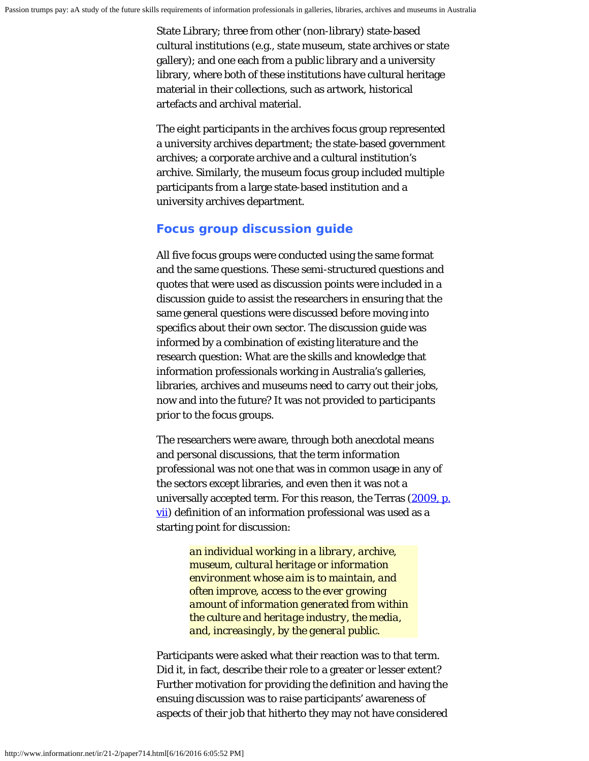State Library; three from other (non-library) state-based cultural institutions (e.g., state museum, state archives or state gallery); and one each from a public library and a university library, where both of these institutions have cultural heritage material in their collections, such as artwork, historical artefacts and archival material.

The eight participants in the archives focus group represented a university archives department; the state-based government archives; a corporate archive and a cultural institution's archive. Similarly, the museum focus group included multiple participants from a large state-based institution and a university archives department.

#### **Focus group discussion guide**

All five focus groups were conducted using the same format and the same questions. These semi-structured questions and quotes that were used as discussion points were included in a discussion guide to assist the researchers in ensuring that the same general questions were discussed before moving into specifics about their own sector. The discussion guide was informed by a combination of existing literature and the research question: What are the skills and knowledge that information professionals working in Australia's galleries, libraries, archives and museums need to carry out their jobs, now and into the future? It was not provided to participants prior to the focus groups.

The researchers were aware, through both anecdotal means and personal discussions, that the term *information professional* was not one that was in common usage in any of the sectors except libraries, and even then it was not a universally accepted term. For this reason, the Terras [\(2009, p.](#page-21-0) [vii\)](#page-21-0) definition of an information professional was used as a starting point for discussion:

> *an individual working in a library, archive, museum, cultural heritage or information environment whose aim is to maintain, and often improve, access to the ever growing amount of information generated from within the culture and heritage industry, the media, and, increasingly, by the general public.*

Participants were asked what their reaction was to that term. Did it, in fact, describe their role to a greater or lesser extent? Further motivation for providing the definition and having the ensuing discussion was to raise participants' awareness of aspects of their job that hitherto they may not have considered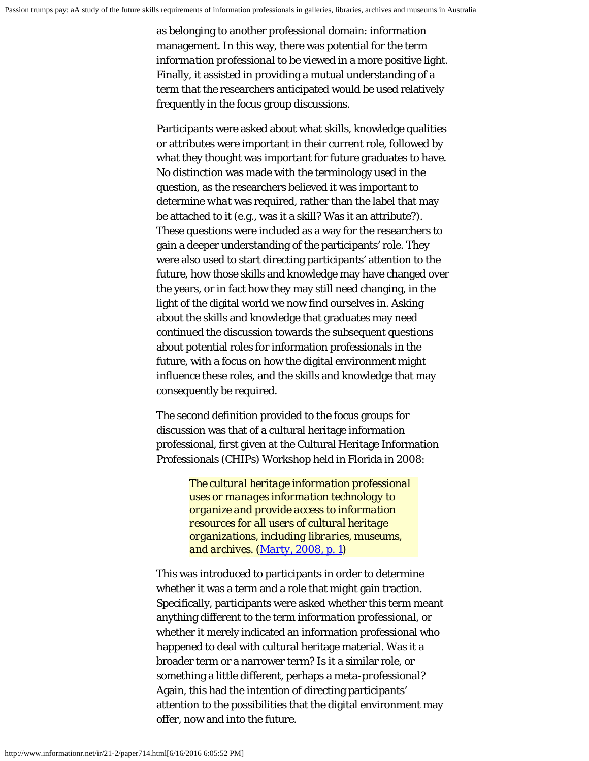as belonging to another professional domain: information management. In this way, there was potential for the term *information professional* to be viewed in a more positive light. Finally, it assisted in providing a mutual understanding of a term that the researchers anticipated would be used relatively frequently in the focus group discussions.

Participants were asked about what skills, knowledge qualities or attributes were important in their current role, followed by what they thought was important for future graduates to have. No distinction was made with the terminology used in the question, as the researchers believed it was important to determine *what* was required, rather than the label that may be attached to it (e.g., was it a skill? Was it an attribute?). These questions were included as a way for the researchers to gain a deeper understanding of the participants' role. They were also used to start directing participants' attention to the future, how those skills and knowledge may have changed over the years, or in fact how they may still need changing, in the light of the digital world we now find ourselves in. Asking about the skills and knowledge that graduates may need continued the discussion towards the subsequent questions about potential roles for information professionals in the future, with a focus on how the digital environment might influence these roles, and the skills and knowledge that may consequently be required.

The second definition provided to the focus groups for discussion was that of a cultural heritage information professional, first given at the Cultural Heritage Information Professionals (CHIPs) Workshop held in Florida in 2008:

> *The cultural heritage information professional uses or manages information technology to organize and provide access to information resources for all users of cultural heritage organizations, including libraries, museums, and archives. [\(Marty, 2008, p. 1](#page-21-0))*

This was introduced to participants in order to determine whether it was a term and a role that might gain traction. Specifically, participants were asked whether this term meant anything different to the term *information professional*, or whether it merely indicated an information professional who happened to deal with cultural heritage material. Was it a broader term or a narrower term? Is it a similar role, or something a little different, perhaps a *meta-professional*? Again, this had the intention of directing participants' attention to the possibilities that the digital environment may offer, now and into the future.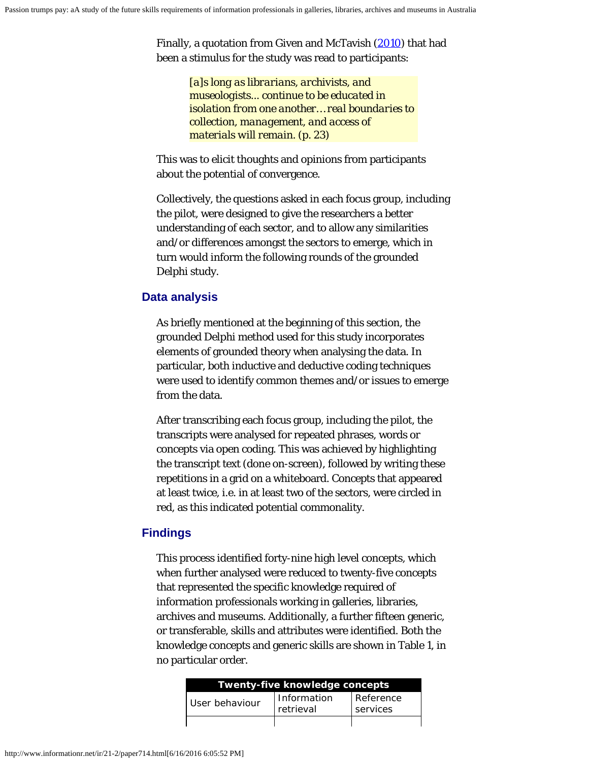Finally, a quotation from Given and McTavish [\(2010](#page-21-0)) that had been a stimulus for the study was read to participants:

> *[a]s long as librarians, archivists, and museologists... continue to be educated in isolation from one another… real boundaries to collection, management, and access of materials will remain. (p. 23)*

This was to elicit thoughts and opinions from participants about the potential of convergence.

Collectively, the questions asked in each focus group, including the pilot, were designed to give the researchers a better understanding of each sector, and to allow any similarities and/or differences amongst the sectors to emerge, which in turn would inform the following rounds of the grounded Delphi study.

## **Data analysis**

As briefly mentioned at the beginning of this section, the grounded Delphi method used for this study incorporates elements of grounded theory when analysing the data. In particular, both inductive and deductive coding techniques were used to identify common themes and/or issues to emerge from the data.

After transcribing each focus group, including the pilot, the transcripts were analysed for repeated phrases, words or concepts via open coding. This was achieved by highlighting the transcript text (done on-screen), followed by writing these repetitions in a grid on a whiteboard. Concepts that appeared at least twice, i.e. in at least two of the sectors, were circled in red, as this indicated potential commonality.

## **Findings**

This process identified forty-nine high level concepts, which when further analysed were reduced to twenty-five concepts that represented the specific knowledge required of information professionals working in galleries, libraries, archives and museums. Additionally, a further fifteen generic, or transferable, skills and attributes were identified. Both the knowledge concepts and generic skills are shown in Table 1, in no particular order.

| Twenty-five knowledge concepts |                          |                       |  |  |
|--------------------------------|--------------------------|-----------------------|--|--|
| l User behaviour               | Information<br>retrieval | Reference<br>services |  |  |
|                                |                          |                       |  |  |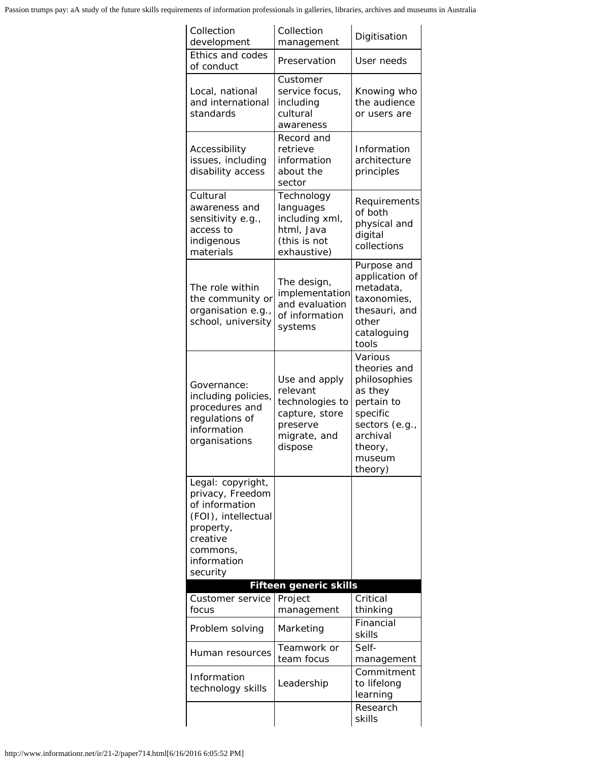Passion trumps pay: aA study of the future skills requirements of information professionals in galleries, libraries, archives and museums in Australia

| Collection<br>development                                                                                                                      | Collection<br>management                                                                              | Digitisation                                                                                                                               |  |
|------------------------------------------------------------------------------------------------------------------------------------------------|-------------------------------------------------------------------------------------------------------|--------------------------------------------------------------------------------------------------------------------------------------------|--|
| Ethics and codes<br>of conduct                                                                                                                 | Preservation                                                                                          | User needs                                                                                                                                 |  |
| Local, national<br>and international<br>standards                                                                                              | Customer<br>service focus,<br>including<br>cultural<br>awareness                                      | Knowing who<br>the audience<br>or users are                                                                                                |  |
| Accessibility<br>issues, including<br>disability access                                                                                        | Record and<br>retrieve<br>information<br>about the<br>sector                                          | Information<br>architecture<br>principles                                                                                                  |  |
| Cultural<br>awareness and<br>sensitivity e.g.,<br>access to<br>indigenous<br>materials                                                         | Technology<br>languages<br>including xml,<br>html, Java<br>(this is not<br>exhaustive)                | Requirements<br>of both<br>physical and<br>digital<br>collections                                                                          |  |
| The role within<br>the community or<br>organisation e.g.,<br>school, university                                                                | The design,<br>implementation<br>and evaluation<br>of information<br>systems                          | Purpose and<br>application of<br>metadata,<br>taxonomies,<br>thesauri, and<br>other<br>cataloguing<br>tools                                |  |
| Governance:<br>including policies,<br>procedures and<br>regulations of<br>information<br>organisations                                         | Use and apply<br>relevant<br>technologies to<br>capture, store<br>preserve<br>migrate, and<br>dispose | Various<br>theories and<br>philosophies<br>as they<br>pertain to<br>specific<br>sectors (e.g.,<br>archival<br>theory,<br>museum<br>theory) |  |
| Legal: copyright,<br>privacy, Freedom<br>of information<br>(FOI), intellectual<br>property,<br>creative<br>commons.<br>information<br>security |                                                                                                       |                                                                                                                                            |  |
|                                                                                                                                                | <b>Fifteen generic skills</b>                                                                         |                                                                                                                                            |  |
| Customer service<br>focus                                                                                                                      | Project<br>management                                                                                 | Critical<br>thinking                                                                                                                       |  |
| Problem solving                                                                                                                                | Marketing                                                                                             | Financial<br>skills                                                                                                                        |  |
| Human resources                                                                                                                                | Teamwork or<br>team focus                                                                             | Self-<br>management                                                                                                                        |  |
| Information<br>technology skills                                                                                                               | Leadership                                                                                            | Commitment<br>to lifelong<br>learning                                                                                                      |  |
|                                                                                                                                                |                                                                                                       | Research<br>skills                                                                                                                         |  |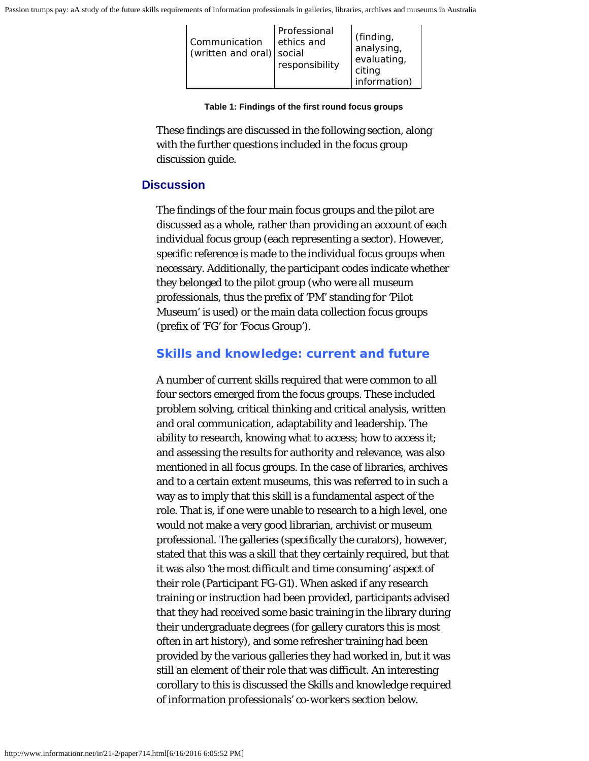| Communication<br>(written and oral) social | Professional<br>ethics and<br>responsibility | (finding)<br>analysing,<br>evaluating,<br>citing<br>information) |
|--------------------------------------------|----------------------------------------------|------------------------------------------------------------------|
|--------------------------------------------|----------------------------------------------|------------------------------------------------------------------|

**Table 1: Findings of the first round focus groups**

These findings are discussed in the following section, along with the further questions included in the focus group discussion guide.

#### **Discussion**

The findings of the four main focus groups and the pilot are discussed as a whole, rather than providing an account of each individual focus group (each representing a sector). However, specific reference is made to the individual focus groups when necessary. Additionally, the participant codes indicate whether they belonged to the pilot group (who were all museum professionals, thus the prefix of 'PM' standing for 'Pilot Museum' is used) or the main data collection focus groups (prefix of 'FG' for 'Focus Group').

#### **Skills and knowledge: current and future**

A number of current skills required that were common to all four sectors emerged from the focus groups. These included problem solving, critical thinking and critical analysis, written and oral communication, adaptability and leadership. The ability to research, knowing what to access; how to access it; and assessing the results for authority and relevance, was also mentioned in all focus groups. In the case of libraries, archives and to a certain extent museums, this was referred to in such a way as to imply that this skill is a fundamental aspect of the role. That is, if one were unable to research to a high level, one would not make a very good librarian, archivist or museum professional. The galleries (specifically the curators), however, stated that this was a skill that they certainly required, but that it was also *'the most difficult and time consuming'* aspect of their role (Participant FG-G1). When asked if any research training or instruction had been provided, participants advised that they had received some basic training in the library during their undergraduate degrees (for gallery curators this is most often in art history), and some refresher training had been provided by the various galleries they had worked in, but it was still an element of their role that was difficult. An interesting corollary to this is discussed the *Skills and knowledge required of information professionals' co-workers* section below.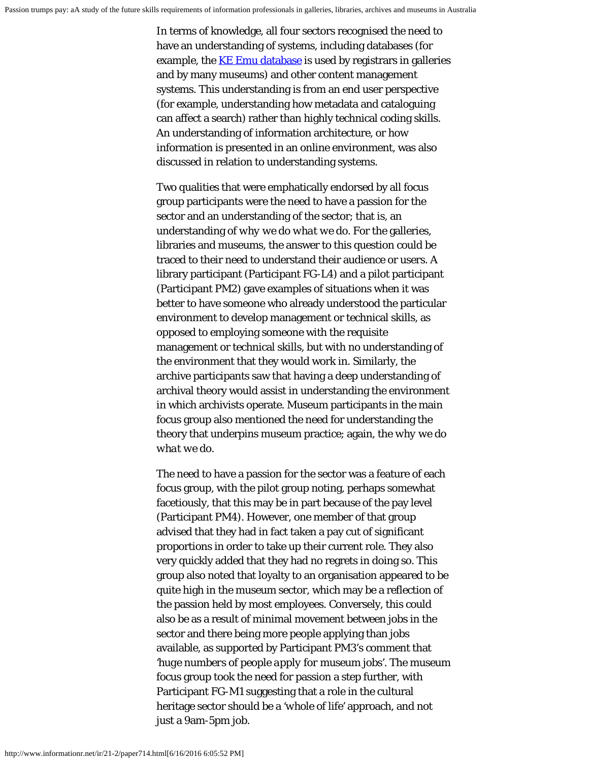In terms of knowledge, all four sectors recognised the need to have an understanding of systems, including databases (for example, the **KE Emu database** is used by registrars in galleries and by many museums) and other content management systems. This understanding is from an end user perspective (for example, understanding how metadata and cataloguing can affect a search) rather than highly technical coding skills. An understanding of information architecture, or how information is presented in an online environment, was also discussed in relation to understanding systems.

Two qualities that were emphatically endorsed by all focus group participants were the need to have a passion for the sector and an understanding of the sector; that is, an understanding of *why we do what we do*. For the galleries, libraries and museums, the answer to this question could be traced to their need to understand their audience or users. A library participant (Participant FG-L4) and a pilot participant (Participant PM2) gave examples of situations when it was better to have someone who already understood the particular environment to develop management or technical skills, as opposed to employing someone with the requisite management or technical skills, but with no understanding of the environment that they would work in. Similarly, the archive participants saw that having a deep understanding of archival theory would assist in understanding the environment in which archivists operate. Museum participants in the main focus group also mentioned the need for understanding the theory that underpins museum practice; again, the *why we do what we do*.

The need to have a passion for the sector was a feature of each focus group, with the pilot group noting, perhaps somewhat facetiously, that this may be in part because of the pay level (Participant PM4). However, one member of that group advised that they had in fact taken a pay cut of significant proportions in order to take up their current role. They also very quickly added that they had no regrets in doing so. This group also noted that loyalty to an organisation appeared to be quite high in the museum sector, which may be a reflection of the passion held by most employees. Conversely, this could also be as a result of minimal movement between jobs in the sector and there being more people applying than jobs available, as supported by Participant PM3's comment that *'huge numbers of people apply for museum jobs'*. The museum focus group took the need for passion a step further, with Participant FG-M1 suggesting that a role in the cultural heritage sector should be a *'whole of life'* approach, and not just a 9am-5pm job.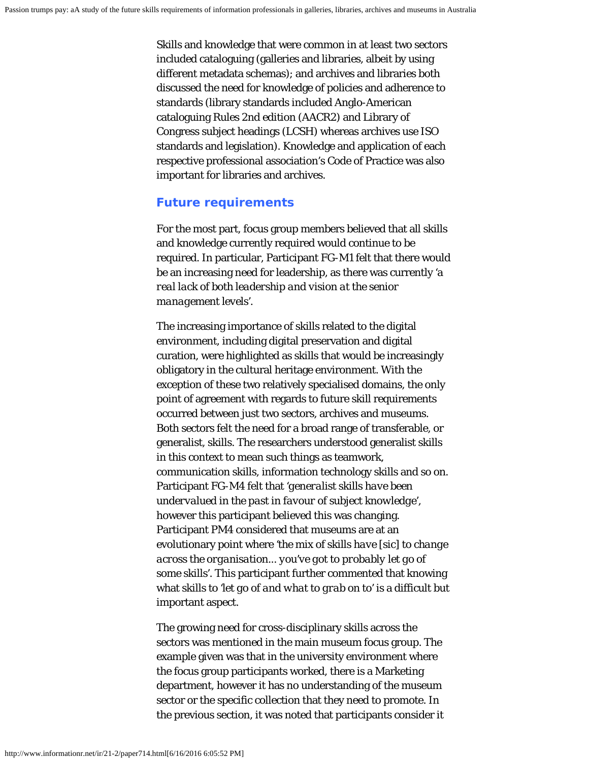Skills and knowledge that were common in at least two sectors included cataloguing (galleries and libraries, albeit by using different metadata schemas); and archives and libraries both discussed the need for knowledge of policies and adherence to standards (library standards included Anglo-American cataloguing Rules 2nd edition (AACR2) and Library of Congress subject headings (LCSH) whereas archives use ISO standards and legislation). Knowledge and application of each respective professional association's Code of Practice was also important for libraries and archives.

#### **Future requirements**

For the most part, focus group members believed that all skills and knowledge currently required would continue to be required. In particular, Participant FG-M1 felt that there would be an increasing need for leadership, as there was currently *'a real lack of both leadership and vision at the senior management levels'*.

The increasing importance of skills related to the digital environment, including digital preservation and digital curation, were highlighted as skills that would be increasingly obligatory in the cultural heritage environment. With the exception of these two relatively specialised domains, the only point of agreement with regards to future skill requirements occurred between just two sectors, archives and museums. Both sectors felt the need for a broad range of transferable, or generalist, skills. The researchers understood generalist skills in this context to mean such things as teamwork, communication skills, information technology skills and so on. Participant FG-M4 felt that *'generalist skills have been undervalued in the past in favour of subject knowledge'*, however this participant believed this was changing. Participant PM4 considered that museums are at an evolutionary point where *'the mix of skills have [sic] to change across the organisation... you've got to probably let go of some skills'*. This participant further commented that knowing what skills to *'let go of and what to grab on to'* is a difficult but important aspect.

The growing need for cross-disciplinary skills across the sectors was mentioned in the main museum focus group. The example given was that in the university environment where the focus group participants worked, there is a Marketing department, however it has no understanding of the museum sector or the specific collection that they need to promote. In the previous section, it was noted that participants consider it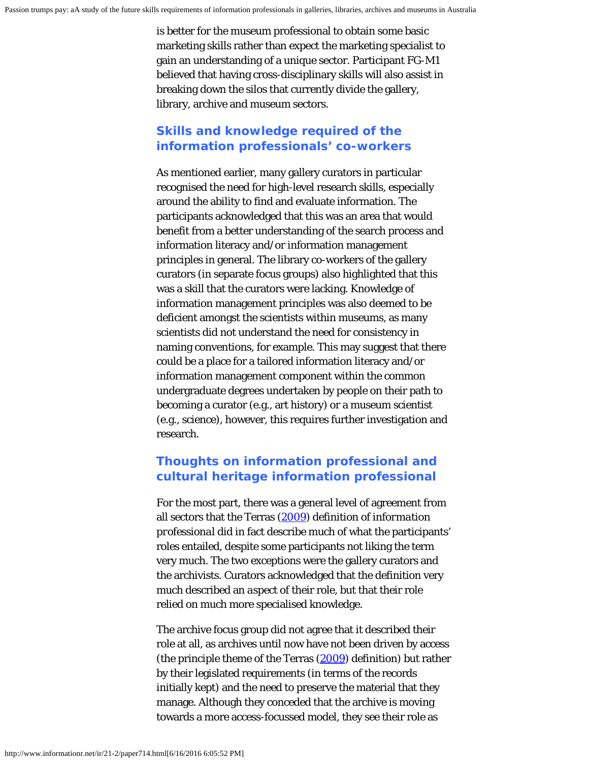is better for the museum professional to obtain some basic marketing skills rather than expect the marketing specialist to gain an understanding of a unique sector. Participant FG-M1 believed that having cross-disciplinary skills will also assist in breaking down the silos that currently divide the gallery, library, archive and museum sectors.

## **Skills and knowledge required of the information professionals' co-workers**

As mentioned earlier, many gallery curators in particular recognised the need for high-level research skills, especially around the ability to find and evaluate information. The participants acknowledged that this was an area that would benefit from a better understanding of the search process and information literacy and/or information management principles in general. The library co-workers of the gallery curators (in separate focus groups) also highlighted that this was a skill that the curators were lacking. Knowledge of information management principles was also deemed to be deficient amongst the scientists within museums, as many scientists did not understand the need for consistency in naming conventions, for example. This may suggest that there could be a place for a tailored information literacy and/or information management component within the common undergraduate degrees undertaken by people on their path to becoming a curator (e.g., art history) or a museum scientist (e.g., science), however, this requires further investigation and research.

## **Thoughts on** *information professional* **and** *cultural heritage information professional*

For the most part, there was a general level of agreement from all sectors that the Terras [\(2009](#page-21-0)) definition of *information professional* did in fact describe much of what the participants' roles entailed, despite some participants not liking the term very much. The two exceptions were the gallery curators and the archivists. Curators acknowledged that the definition very much described an *aspect* of their role, but that their role relied on much more specialised knowledge.

The archive focus group did not agree that it described their role at all, as archives until now have not been driven by access (the principle theme of the Terras  $(2009)$  $(2009)$  definition) but rather by their legislated requirements (in terms of the records initially kept) and the need to preserve the material that they manage. Although they conceded that the archive is moving towards a more access-focussed model, they see their role as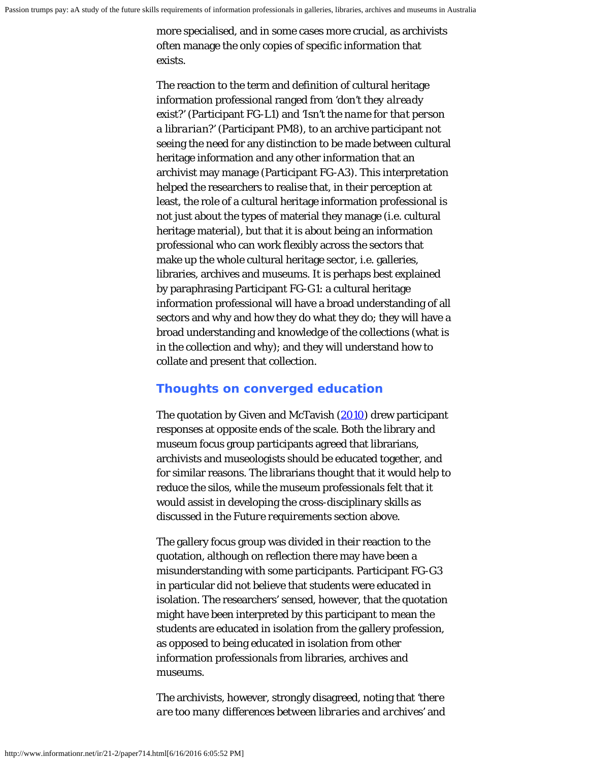more specialised, and in some cases more crucial, as archivists often manage the only copies of specific information that exists.

The reaction to the term and definition of cultural heritage information professional ranged from *'don't they already exist?'* (Participant FG-L1) and *'Isn't the name for that person a librarian?'* (Participant PM8), to an archive participant not seeing the need for any distinction to be made between cultural heritage information and any other information that an archivist may manage (Participant FG-A3). This interpretation helped the researchers to realise that, in their perception at least, the role of a cultural heritage information professional is not just about the types of material they manage (i.e. cultural heritage material), but that it is about being an information professional who can work flexibly across the sectors that make up the whole cultural heritage sector, i.e. galleries, libraries, archives and museums. It is perhaps best explained by paraphrasing Participant FG-G1: a cultural heritage information professional will have a broad understanding of all sectors and why and how they do what they do; they will have a broad understanding and knowledge of the collections (what is in the collection and why); and they will understand how to collate and present that collection.

#### **Thoughts on converged education**

The quotation by Given and McTavish [\(2010](#page-21-0)) drew participant responses at opposite ends of the scale. Both the library and museum focus group participants agreed that librarians, archivists and museologists should be educated together, and for similar reasons. The librarians thought that it would help to reduce the silos, while the museum professionals felt that it would assist in developing the cross-disciplinary skills as discussed in the *Future requirements* section above.

The gallery focus group was divided in their reaction to the quotation, although on reflection there may have been a misunderstanding with some participants. Participant FG-G3 in particular did not believe that students were educated in isolation. The researchers' sensed, however, that the quotation might have been interpreted by this participant to mean the students are educated in isolation from the gallery profession, as opposed to being educated in isolation from other information professionals from libraries, archives and museums.

The archivists, however, strongly disagreed, noting that *'there are too many differences between libraries and archives'* and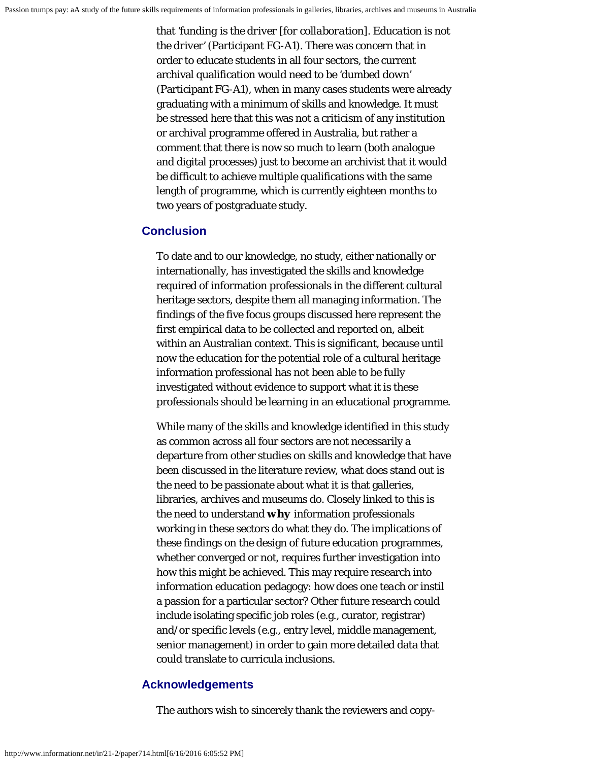that *'funding is the driver [for collaboration]. Education is not the driver'* (Participant FG-A1). There was concern that in order to educate students in all four sectors, the current archival qualification would need to be *'dumbed down'* (Participant FG-A1), when in many cases students were already graduating with a minimum of skills and knowledge. It must be stressed here that this was not a criticism of any institution or archival programme offered in Australia, but rather a comment that there is now so much to learn (both analogue and digital processes) just to become an archivist that it would be difficult to achieve multiple qualifications with the same length of programme, which is currently eighteen months to two years of postgraduate study.

#### **Conclusion**

To date and to our knowledge, no study, either nationally or internationally, has investigated the skills and knowledge required of information professionals in the different cultural heritage sectors, despite them all managing information. The findings of the five focus groups discussed here represent the first empirical data to be collected and reported on, albeit within an Australian context. This is significant, because until now the education for the potential role of a cultural heritage information professional has not been able to be fully investigated without evidence to support what it is these professionals should be learning in an educational programme.

While many of the skills and knowledge identified in this study as common across all four sectors are not necessarily a departure from other studies on skills and knowledge that have been discussed in the literature review, what does stand out is the need to be passionate about what it is that galleries, libraries, archives and museums do. Closely linked to this is the need to understand *why* information professionals working in these sectors do what they do. The implications of these findings on the design of future education programmes, whether converged or not, requires further investigation into how this might be achieved. This may require research into information education pedagogy: how does one *teach* or instil a passion for a particular sector? Other future research could include isolating specific job roles (e.g., curator, registrar) and/or specific levels (e.g., entry level, middle management, senior management) in order to gain more detailed data that could translate to curricula inclusions.

#### **Acknowledgements**

The authors wish to sincerely thank the reviewers and copy-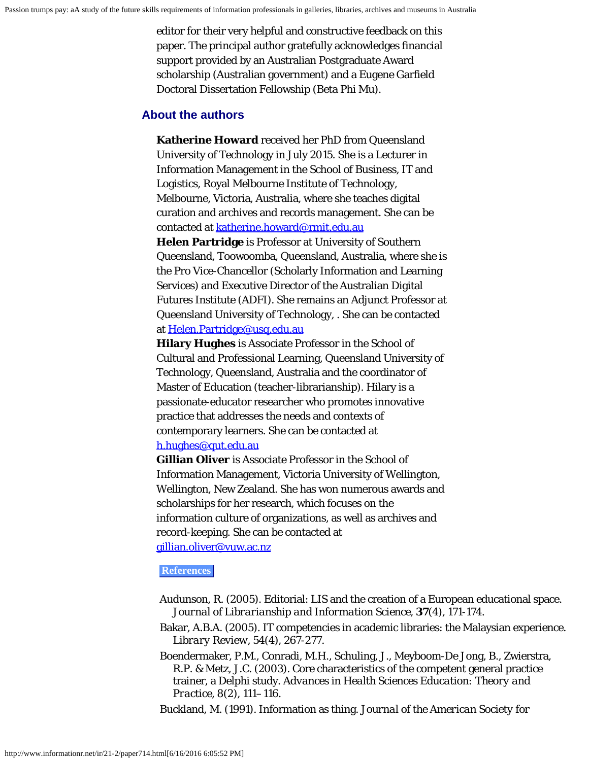editor for their very helpful and constructive feedback on this paper. The principal author gratefully acknowledges financial support provided by an Australian Postgraduate Award scholarship (Australian government) and a Eugene Garfield Doctoral Dissertation Fellowship (Beta Phi Mu).

#### <span id="page-17-0"></span>**About the authors**

**Katherine Howard** received her PhD from Queensland University of Technology in July 2015. She is a Lecturer in Information Management in the School of Business, IT and Logistics, Royal Melbourne Institute of Technology, Melbourne, Victoria, Australia, where she teaches digital curation and archives and records management. She can be contacted at [katherine.howard@rmit.edu.au](mailto:katherine.howard@rmit.edu.au)

**Helen Partridge** is Professor at University of Southern Queensland, Toowoomba, Queensland, Australia, where she is the Pro Vice-Chancellor (Scholarly Information and Learning Services) and Executive Director of the Australian Digital Futures Institute (ADFI). She remains an Adjunct Professor at Queensland University of Technology, . She can be contacted at [Helen.Partridge@usq.edu.au](mailto:Helen.Partridge@usq.edu.au)

**Hilary Hughes** is Associate Professor in the School of Cultural and Professional Learning, Queensland University of Technology, Queensland, Australia and the coordinator of Master of Education (teacher-librarianship). Hilary is a passionate-educator researcher who promotes innovative practice that addresses the needs and contexts of contemporary learners. She can be contacted at [h.hughes@qut.edu.au](mailto:h.hughes@qut.edu.au)

**Gillian Oliver** is Associate Professor in the School of Information Management, Victoria University of Wellington, Wellington, New Zealand. She has won numerous awards and scholarships for her research, which focuses on the information culture of organizations, as well as archives and record-keeping. She can be contacted at [gillian.oliver@vuw.ac.nz](mailto:gillian.oliver@vuw.ac.nz)

#### **References**

- Audunson, R. (2005). Editorial: LIS and the creation of a European educational space. *Journal of Librarianship and Information Science*, **37**(4), 171-174.
- Bakar, A.B.A. (2005). IT competencies in academic libraries: the Malaysian experience. *Library Review, 54*(4), 267-277.
- Boendermaker, P.M., Conradi, M.H., Schuling, J., Meyboom-De Jong, B., Zwierstra, R.P. & Metz, J.C. (2003). Core characteristics of the competent general practice trainer, a Delphi study. *Advances in Health Sciences Education: Theory and Practice, 8*(2), 111–116.

Buckland, M. (1991). Information as thing. *Journal of the American Society for*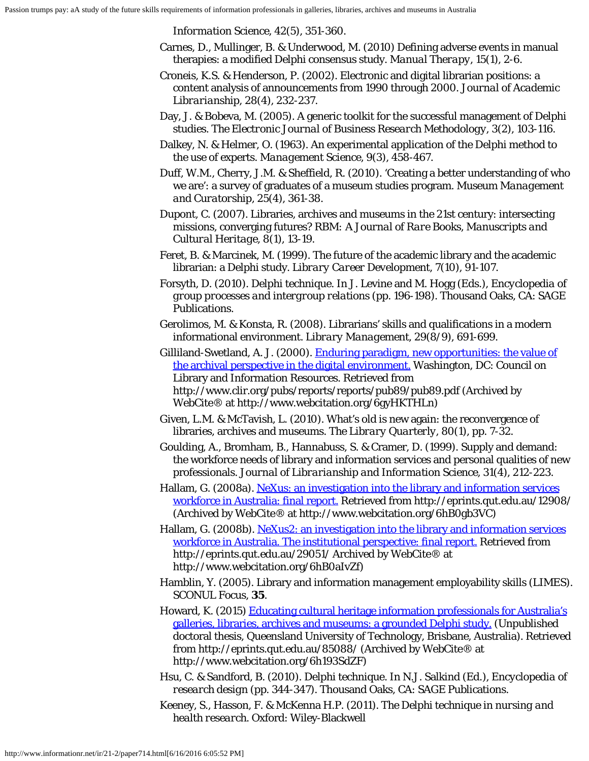*Information Science, 42*(5), 351-360.

- Carnes, D., Mullinger, B. & Underwood, M. (2010) Defining adverse events in manual therapies: a modified Delphi consensus study. *Manual Therapy, 15*(1), 2-6.
- Croneis, K.S. & Henderson, P. (2002). Electronic and digital librarian positions: a content analysis of announcements from 1990 through 2000. *Journal of Academic Librarianship, 28*(4), 232-237.
- Day, J. & Bobeva, M. (2005). A generic toolkit for the successful management of Delphi studies. *The Electronic Journal of Business Research Methodology, 3*(2), 103-116.
- Dalkey, N. & Helmer, O. (1963). An experimental application of the Delphi method to the use of experts. *Management Science, 9*(3), 458-467.
- Duff, W.M., Cherry, J.M. & Sheffield, R. (2010). 'Creating a better understanding of who we are': a survey of graduates of a museum studies program. *Museum Management and Curatorship, 25*(4), 361-38.
- Dupont, C. (2007). Libraries, archives and museums in the 21st century: intersecting missions, converging futures? *RBM: A Journal of Rare Books, Manuscripts and Cultural Heritage, 8*(1), 13-19.
- Feret, B. & Marcinek, M. (1999). The future of the academic library and the academic librarian: a Delphi study. *Library Career Development, 7*(10), 91-107.
- Forsyth, D. (2010). Delphi technique. In J. Levine and M. Hogg (Eds.), *Encyclopedia of group processes and intergroup relations* (pp. 196-198). Thousand Oaks, CA: SAGE Publications.
- Gerolimos, M. & Konsta, R. (2008). Librarians' skills and qualifications in a modern informational environment. *Library Management, 29*(8/9), 691-699.
- Gilliland-Swetland, A. J. (2000). [Enduring paradigm, new opportunities: the value of](http://www.webcitation.org/6gyHKTHLn) [the archival perspective in the digital environment.](http://www.webcitation.org/6gyHKTHLn) Washington, DC: Council on Library and Information Resources. Retrieved from http://www.clir.org/pubs/reports/reports/pub89/pub89.pdf (Archived by WebCite® at http://www.webcitation.org/6gyHKTHLn)
- Given, L.M. & McTavish, L. (2010). What's old is new again: the reconvergence of libraries, archives and museums. *The Library Quarterly, 80*(1), pp. 7-32.
- Goulding, A., Bromham, B., Hannabuss, S. & Cramer, D. (1999). Supply and demand: the workforce needs of library and information services and personal qualities of new professionals. *Journal of Librarianship and Information Science, 31*(4), 212-223.
- Hallam, G. (2008a). [NeXus: an investigation into the library and information services](http://www.webcitation.org/6hB0gb3VC) [workforce in Australia: final report.](http://www.webcitation.org/6hB0gb3VC) Retrieved from http://eprints.qut.edu.au/12908/ (Archived by WebCite® at http://www.webcitation.org/6hB0gb3VC)
- Hallam, G. (2008b). [NeXus2: an investigation into the library and information services](http://www.webcitation.org/6hB0aIvZf) [workforce in Australia. The institutional perspective: final report.](http://www.webcitation.org/6hB0aIvZf) Retrieved from http://eprints.qut.edu.au/29051/ Archived by WebCite® at http://www.webcitation.org/6hB0aIvZf)
- Hamblin, Y. (2005). Library and information management employability skills (LIMES). *SCONUL Focus*, **35**.
- Howard, K. (2015) [Educating cultural heritage information professionals for Australia's](http://www.webcitation.org/6h193SdZF) [galleries, libraries, archives and museums: a grounded Delphi study.](http://www.webcitation.org/6h193SdZF) (Unpublished doctoral thesis, Queensland University of Technology, Brisbane, Australia). Retrieved from http://eprints.qut.edu.au/85088/ (Archived by WebCite® at http://www.webcitation.org/6h193SdZF)
- Hsu, C. & Sandford, B. (2010). Delphi technique. In N.J. Salkind (Ed.), *Encyclopedia of research design* (pp. 344-347). Thousand Oaks, CA: SAGE Publications.
- Keeney, S., Hasson, F. & McKenna H.P. (2011). *The Delphi technique in nursing and health research.* Oxford: Wiley-Blackwell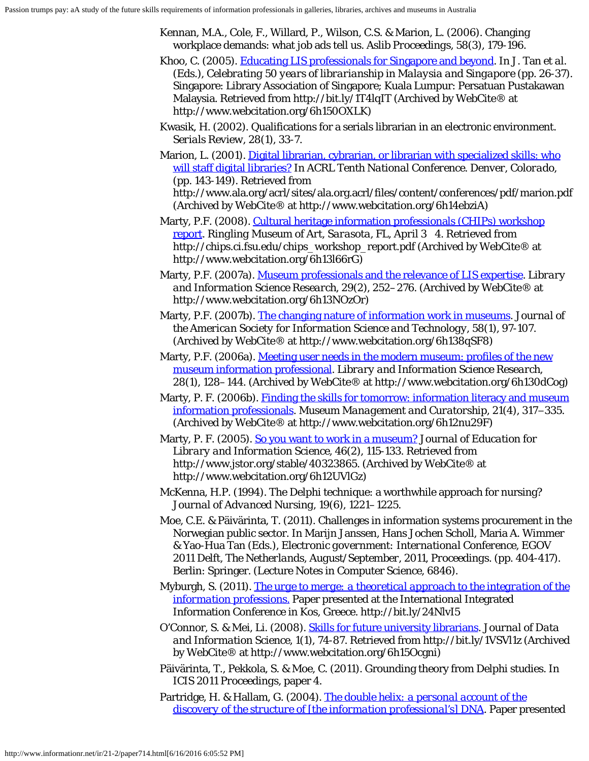- Kennan, M.A., Cole, F., Willard, P., Wilson, C.S. & Marion, L. (2006). Changing workplace demands: what job ads tell us. *Aslib Proceedings, 58*(3), 179-196.
- Khoo, C. (2005). [Educating LIS professionals for Singapore and beyond](http://www.webcitation.org/6h150OXLK). In J. Tan *et al.* (Eds.), *Celebrating 50 years of librarianship in Malaysia and Singapore* (pp. 26-37). Singapore: Library Association of Singapore; Kuala Lumpur: Persatuan Pustakawan Malaysia. Retrieved from http://bit.ly/1T4lqIT (Archived by WebCite® at http://www.webcitation.org/6h150OXLK)
- Kwasik, H. (2002). Qualifications for a serials librarian in an electronic environment. *Serials Review, 28*(1), 33-7.
- Marion, L. (2001). [Digital librarian, cybrarian, or librarian with specialized skills: who](http://www.webcitation.org/6h14ebziA) [will staff digital libraries?](http://www.webcitation.org/6h14ebziA) In *ACRL Tenth National Conference. Denver, Colorado*, (pp. 143-149). Retrieved from http://www.ala.org/acrl/sites/ala.org.acrl/files/content/conferences/pdf/marion.pdf (Archived by WebCite® at http://www.webcitation.org/6h14ebziA)
- Marty, P.F. (2008). [Cultural heritage information professionals \(CHIPs\) workshop](http://www.webcitation.org/6h13l66rG) [report](http://www.webcitation.org/6h13l66rG). *Ringling Museum of Art, Sarasota, FL, April 3 4.* Retrieved from http://chips.ci.fsu.edu/chips\_workshop\_report.pdf (Archived by WebCite® at http://www.webcitation.org/6h13l66rG)
- Marty, P.F. (2007a). [Museum professionals and the relevance of LIS expertise](http://www.webcitation.org/6h13NOzOr). *Library and Information Science Research, 29*(2), 252–276. (Archived by WebCite® at http://www.webcitation.org/6h13NOzOr)
- Marty, P.F. (2007b). [The changing nature of information work in museums](http://www.webcitation.org/6h138qSF8). *Journal of the American Society for Information Science and Technology, 58*(1), 97-107. (Archived by WebCite® at http://www.webcitation.org/6h138qSF8)
- Marty, P.F. (2006a). [Meeting user needs in the modern museum: profiles of the new](http://www.webcitation.org/6h130dCog) [museum information professional.](http://www.webcitation.org/6h130dCog) *Library and Information Science Research, 28*(1), 128–144. (Archived by WebCite® at http://www.webcitation.org/6h130dCog)
- Marty, P. F. (2006b). [Finding the skills for tomorrow: information literacy and museum](http://www.webcitation.org/6h12nu29F) [information professionals](http://www.webcitation.org/6h12nu29F). *Museum Management and Curatorship*, 21(4), 317−335. (Archived by WebCite® at http://www.webcitation.org/6h12nu29F)
- Marty, P. F. (2005). [So you want to work in a museum?](http://www.webcitation.org/6h12UVlGz) *Journal of Education for Library and Information Science, 46*(2), 115-133. Retrieved from http://www.jstor.org/stable/40323865. (Archived by WebCite® at http://www.webcitation.org/6h12UVlGz)
- McKenna, H.P. (1994). The Delphi technique: a worthwhile approach for nursing? *Journal of Advanced Nursing, 19*(6), 1221–1225.
- Moe, C.E. & Päivärinta, T. (2011). Challenges in information systems procurement in the Norwegian public sector. In Marijn Janssen, Hans Jochen Scholl, Maria A. Wimmer & Yao-Hua Tan (Eds.), *Electronic government: International Conference, EGOV 2011 Delft, The Netherlands, August/September, 2011, Proceedings.* (pp. 404-417). Berlin: Springer. (Lecture Notes in Computer Science, 6846).
- Myburgh, S. (2011). *[The urge to merge: a theoretical approach to the integration of the](http://bit.ly/24NlvI5) [information professions.](http://bit.ly/24NlvI5)* Paper presented at the International Integrated Information Conference in Kos, Greece. http://bit.ly/24NlvI5
- O'Connor, S. & Mei, Li. (2008). [Skills for future university librarians](http://www.webcitation.org/6h15Ocgni). *Journal of Data and Information Science, 1*(1), 74-87. Retrieved from http://bit.ly/1VSVl1z (Archived by WebCite® at http://www.webcitation.org/6h15Ocgni)
- Päivärinta, T., Pekkola, S. & Moe, C. (2011). Grounding theory from Delphi studies. In *ICIS 2011 Proceedings*, paper 4.
- Partridge, H. & Hallam, G. (2004). *[The double helix: a personal account of the](http://www.webcitation.org/6h16AWyPz) [discovery of the structure of \[the information professional's\] DNA](http://www.webcitation.org/6h16AWyPz)*. Paper presented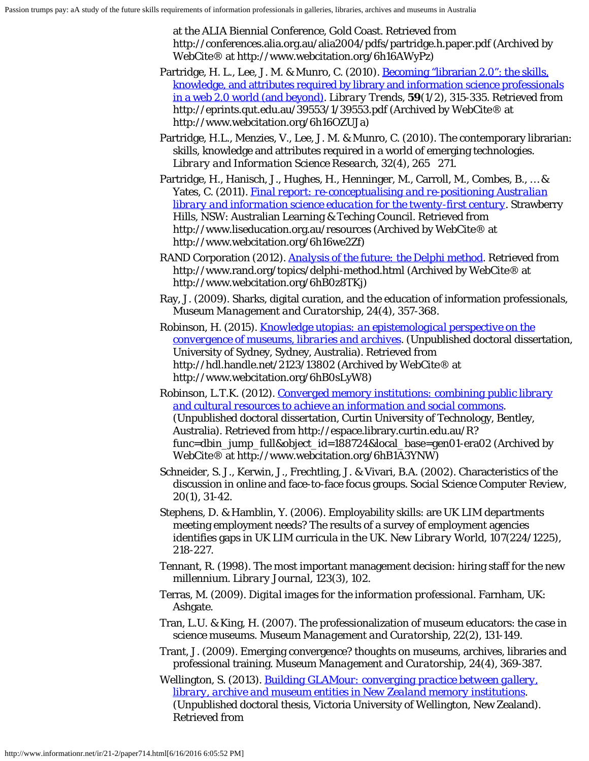at the ALIA Biennial Conference, Gold Coast. Retrieved from http://conferences.alia.org.au/alia2004/pdfs/partridge.h.paper.pdf (Archived by WebCite® at http://www.webcitation.org/6h16AWyPz)

- Partridge, H. L., Lee, J. M. & Munro, C. (2010). [Becoming "librarian 2.0": the skills,](http://www.webcitation.org/6h16OZUJa) [knowledge, and attributes required by library and information science professionals](http://www.webcitation.org/6h16OZUJa) [in a web 2.0 world \(and beyond\).](http://www.webcitation.org/6h16OZUJa) *Library Trends*, **59**(1/2), 315-335. Retrieved from http://eprints.qut.edu.au/39553/1/39553.pdf (Archived by WebCite® at http://www.webcitation.org/6h16OZUJa)
- Partridge, H.L., Menzies, V., Lee, J. M. & Munro, C. (2010). The contemporary librarian: skills, knowledge and attributes required in a world of emerging technologies. *Library and Information Science Research, 32*(4), 265 271.
- Partridge, H., Hanisch, J., Hughes, H., Henninger, M., Carroll, M., Combes, B., … & Yates, C. (2011). *[Final report: re-conceptualising and re-positioning Australian](http://www.webcitation.org/6h16we2Zf) [library and information science education for the twenty-first century](http://www.webcitation.org/6h16we2Zf)*. Strawberry Hills, NSW: Australian Learning & Teching Council. Retrieved from http://www.liseducation.org.au/resources (Archived by WebCite® at http://www.webcitation.org/6h16we2Zf)
- RAND Corporation (2012). *[Analysis of the future: the Delphi method](http://www.webcitation.org/6hB0z8TKj)*. Retrieved from http://www.rand.org/topics/delphi-method.html (Archived by WebCite® at http://www.webcitation.org/6hB0z8TKj)
- Ray, J. (2009). Sharks, digital curation, and the education of information professionals, *Museum Management and Curatorship, 24*(4), 357-368.
- Robinson, H. (2015). *[Knowledge utopias: an epistemological perspective on the](http://www.webcitation.org/6hB0sLyW8) [convergence of museums, libraries and archives](http://www.webcitation.org/6hB0sLyW8)*. (Unpublished doctoral dissertation, University of Sydney, Sydney, Australia). Retrieved from http://hdl.handle.net/2123/13802 (Archived by WebCite® at http://www.webcitation.org/6hB0sLyW8)
- Robinson, L.T.K. (2012). *[Converged memory institutions: combining public library](http://www.webcitation.org/6hB1A3YNW) [and cultural resources to achieve an information and social commons](http://www.webcitation.org/6hB1A3YNW)*. (Unpublished doctoral dissertation, Curtin University of Technology, Bentley, Australia). Retrieved from http://espace.library.curtin.edu.au/R? func=dbin\_jump\_full&object\_id=188724&local\_base=gen01-era02 (Archived by WebCite® at http://www.webcitation.org/6hB1A3YNW)
- Schneider, S. J., Kerwin, J., Frechtling, J. & Vivari, B.A. (2002). Characteristics of the discussion in online and face-to-face focus groups. *Social Science Computer Review, 20*(1), 31-42.
- Stephens, D. & Hamblin, Y. (2006). Employability skills: are UK LIM departments meeting employment needs? The results of a survey of employment agencies identifies gaps in UK LIM curricula in the UK. *New Library World, 107*(224/1225), 218-227.
- Tennant, R. (1998). The most important management decision: hiring staff for the new millennium. *Library Journal, 123*(3), 102.
- Terras, M. (2009). *Digital images for the information professional*. Farnham, UK: Ashgate.
- Tran, L.U. & King, H. (2007). The professionalization of museum educators: the case in science museums. *Museum Management and Curatorship, 22*(2), 131-149.
- Trant, J. (2009). Emerging convergence? thoughts on museums, archives, libraries and professional training. *Museum Management and Curatorship, 24*(4), 369-387.
- Wellington, S. (2013). *[Building GLAMour: converging practice between gallery,](http://www.webcitation.org/6h17WySRb) [library, archive and museum entities in New Zealand memory institutions](http://www.webcitation.org/6h17WySRb)*. (Unpublished doctoral thesis, Victoria University of Wellington, New Zealand). Retrieved from